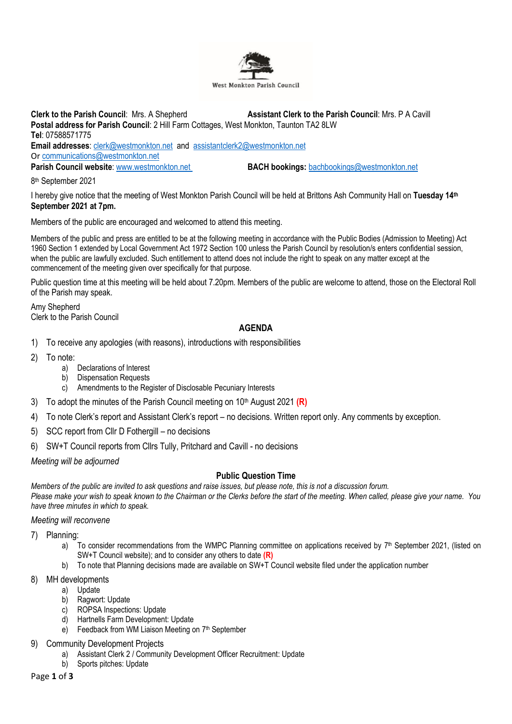

**Clerk to the Parish Council**: Mrs. A Shepherd **Assistant Clerk to the Parish Council**: Mrs. P A Cavill **Postal address for Parish Council**: 2 Hill Farm Cottages, West Monkton, Taunton TA2 8LW **Tel**: 07588571775 **Email addresses**: [clerk@westmonkton.net](mailto:clerk@westmonkton.net) and [assistantclerk2@westmonkton.net](mailto:assistantclerk2@westmonkton.net) Or [communications@westmonkton.net](mailto:communications@westmonkton.net) **Parish Council website**: [www.westmonkton.net](http://www.westmonkton.net/) **BACH bookings:** [bachbookings@westmonkton.net](mailto:bachbookings@westmonkton.net)

8 th September 2021

I hereby give notice that the meeting of West Monkton Parish Council will be held at Brittons Ash Community Hall on **Tuesday 14th September 2021 at 7pm.**

Members of the public are encouraged and welcomed to attend this meeting.

Members of the public and press are entitled to be at the following meeting in accordance with the Public Bodies (Admission to Meeting) Act 1960 Section 1 extended by Local Government Act 1972 Section 100 unless the Parish Council by resolution/s enters confidential session, when the public are lawfully excluded. Such entitlement to attend does not include the right to speak on any matter except at the commencement of the meeting given over specifically for that purpose.

Public question time at this meeting will be held about 7.20pm. Members of the public are welcome to attend, those on the Electoral Roll of the Parish may speak.

Amy Shepherd Clerk to the Parish Council

# **AGENDA**

- 1) To receive any apologies (with reasons), introductions with responsibilities
- 2) To note:
	- a) Declarations of Interest
	- b) Dispensation Requests
	- c) Amendments to the Register of Disclosable Pecuniary Interests
- 3) To adopt the minutes of the Parish Council meeting on 10<sup>th</sup> August 2021 (R)
- 4) To note Clerk's report and Assistant Clerk's report no decisions. Written report only. Any comments by exception.
- 5) SCC report from Cllr D Fothergill no decisions
- 6) SW+T Council reports from Cllrs Tully, Pritchard and Cavill no decisions

*Meeting will be adjourned*

## **Public Question Time**

*Members of the public are invited to ask questions and raise issues, but please note, this is not a discussion forum. Please make your wish to speak known to the Chairman or the Clerks before the start of the meeting. When called, please give your name. You have three minutes in which to speak.*

*Meeting will reconvene*

7) Planning:

- a) To consider recommendations from the WMPC Planning committee on applications received by  $7<sup>th</sup>$  September 2021, (listed on SW+T Council website); and to consider any others to date **(R)**
- b) To note that Planning decisions made are available on SW+T Council website filed under the application number
- 8) MH developments
	- a) Update
	- b) Ragwort: Update
	- c) ROPSA Inspections: Update
	- d) Hartnells Farm Development: Update
	- e) Feedback from WM Liaison Meeting on 7<sup>th</sup> September
- 9) Community Development Projects
	- a) Assistant Clerk 2 / Community Development Officer Recruitment: Update
	- b) Sports pitches: Update

### Page **1** of **3**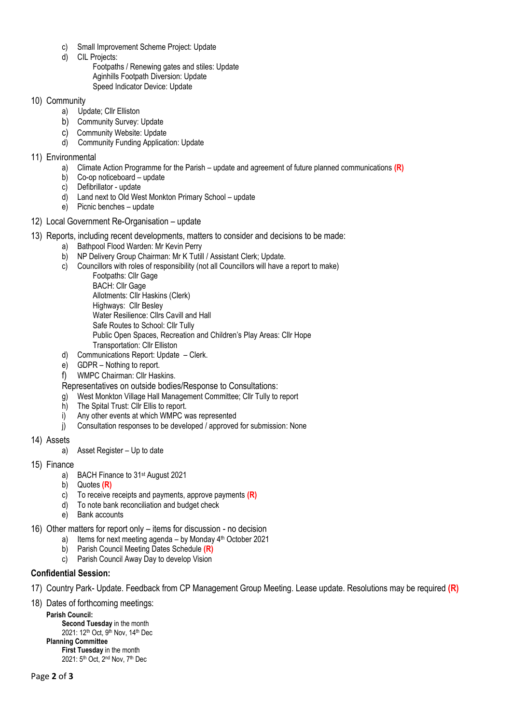- c) Small Improvement Scheme Project: Update
- d) CIL Projects:

Footpaths / Renewing gates and stiles: Update Aginhills Footpath Diversion: Update Speed Indicator Device: Update

## 10) Community

- a) Update; Cllr Elliston
- b) Community Survey: Update
- c) Community Website: Update
- d) Community Funding Application: Update
- 11) Environmental
	- a) Climate Action Programme for the Parish update and agreement of future planned communications **(R)**
	- b) Co-op noticeboard update
	- c) Defibrillator update
	- d) Land next to Old West Monkton Primary School update
	- e) Picnic benches update
- 12) Local Government Re-Organisation update
- 13) Reports, including recent developments, matters to consider and decisions to be made:
	- a) Bathpool Flood Warden: Mr Kevin Perry
	- b) NP Delivery Group Chairman: Mr K Tutill / Assistant Clerk; Update.
	- c) Councillors with roles of responsibility (not all Councillors will have a report to make) Footpaths: Cllr Gage BACH: Cllr Gage Allotments: Cllr Haskins (Clerk) Highways: Cllr Besley Water Resilience: Cllrs Cavill and Hall Safe Routes to School: Cllr Tully Public Open Spaces, Recreation and Children's Play Areas: Cllr Hope Transportation: Cllr Elliston
	- d) Communications Report: Update Clerk.
	- e) GDPR Nothing to report.
	- f) WMPC Chairman: Cllr Haskins.

Representatives on outside bodies/Response to Consultations:

- g) West Monkton Village Hall Management Committee; Cllr Tully to report
- h) The Spital Trust: Cllr Ellis to report.
- i) Any other events at which WMPC was represented
- j) Consultation responses to be developed / approved for submission: None
- 14) Assets
	- a) Asset Register Up to date
- 15) Finance
	- a) BACH Finance to 31st August 2021
	- b) Quotes **(R)**
	- c) To receive receipts and payments, approve payments **(R)**
	- d) To note bank reconciliation and budget check
	- e) Bank accounts
- 16) Other matters for report only items for discussion no decision
	- a) Items for next meeting agenda by Monday 4<sup>th</sup> October 2021
	- b) Parish Council Meeting Dates Schedule **(R)**
	- c) Parish Council Away Day to develop Vision

## **Confidential Session:**

17) Country Park- Update. Feedback from CP Management Group Meeting. Lease update. Resolutions may be required **(R)**

18) Dates of forthcoming meetings:

**Parish Council: Second Tuesday** in the month 2021: 12<sup>th</sup> Oct, 9<sup>th</sup> Nov, 14<sup>th</sup> Dec **Planning Committee First Tuesday** in the month 2021: 5th Oct, 2nd Nov, 7th Dec